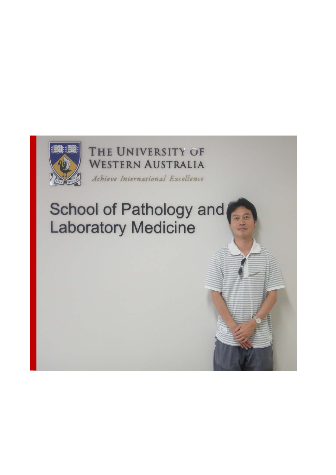

THE UNIVERSITY OF **WESTERN AUSTRALIA** Achieve International Excellence

# School of Pathology and **Laboratory Medicine**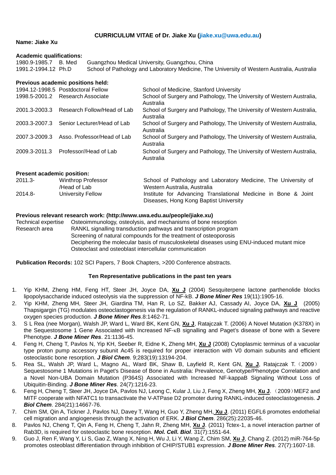# **CURRICULUM VITAE of Dr. Jiake Xu [\(jiake.xu@uwa.edu.au\)](mailto:zhangge@hkbu.edu.hk)**

## **Name: Jiake Xu**

## **Academic qualifications:**

| 1980.9-1985.7 B. Med | Guangzhou Medical University, Guangzhou, China                                              |
|----------------------|---------------------------------------------------------------------------------------------|
| 1991.2-1994.12 Ph.D  | School of Pathology and Laboratory Medicine, The University of Western Australia, Australia |

## **Previous academic positions held:**

|               | 1994.12-1998.5 Postdoctoral Fellow | School of Medicine, Stanford University                                            |
|---------------|------------------------------------|------------------------------------------------------------------------------------|
|               | 1998.5-2001.2 Research Associate   | School of Surgery and Pathology, The University of Western Australia,<br>Australia |
| 2001.3-2003.3 | Research Follow/Head of Lab        | School of Surgery and Pathology, The University of Western Australia,<br>Australia |
| 2003.3-2007.3 | Senior Lecturer/Head of Lab        | School of Surgery and Pathology, The University of Western Australia,<br>Australia |
| 2007.3-2009.3 | Asso. Professor/Head of Lab        | School of Surgery and Pathology, The University of Western Australia,<br>Australia |
| 2009.3-2011.3 | Professor//Head of Lab             | School of Surgery and Pathology, The University of Western Australia,<br>Australia |

## **Present academic position:**

| $2011.3 -$ | <b>Winthrop Professor</b> | School of Pathology and Laboratory Medicine, The University of |
|------------|---------------------------|----------------------------------------------------------------|
|            | /Head of Lab              | Western Australia, Australia                                   |
| $2014.8 -$ | University Fellow         | Institute for Advancing Translational Medicine in Bone & Joint |
|            |                           | Diseases, Hong Kong Baptist University                         |

## **Previous relevant research work: (http://www.uwa.edu.au/people/jiake.xu)**

| Technical expertise | Osteoimmunology, osteolysis, and mechanisms of bone resorption                            |
|---------------------|-------------------------------------------------------------------------------------------|
| Research area       | RANKL signalling transduction pathways and transcription program                          |
|                     | Screening of natural compounds for the treatment of osteoporosis                          |
|                     | Deciphering the molecular basis of musculoskeletal diseases using ENU-induced mutant mice |
|                     | Osteoclast and osteoblast intercellular communication                                     |

**Publication Records:** 102 SCI Papers, 7 Book Chapters, >200 Conference abstracts.

# **Ten Representative publications in the past ten years**

- 1. Yip KHM, Zheng HM, Feng HT, Steer JH, Joyce DA, **Xu J** (2004) Sesquiterpene lactone parthenolide blocks lipopolysaccharide induced osteolysis via the suppression of NF-kB. *J Bone Miner Res* 19(11):1905-16.
- 2. Yip KHM, Zheng MH, Steer JH, Giardina TM, Han R, Lo SZ, Bakker AJ, Cassady AI, Joyce DA, **Xu J** (2005) Thapsigargin (TG) modulates osteoclastogenesis via the regulation of RANKL-induced signaling pathways and reactive oxygen species production. *J Bone Miner Res*.8:1462-71.
- 3. S L Rea (nee Morgan), Walsh JP, Ward L, Ward BK, Kent GN, **Xu J**, Ratajczak T. (2006) A Novel Mutation (K378X) in the Sequestosome 1 Gene Associated with Increased NF-κB signalling and Paget's disease of bone with a Severe Phenotype. *J Bone Miner Res*. 21:1136-45.
- 4. Feng H, Cheng T, Pavlos N, Yip KH, Seeber R, Eidne K, Zheng MH, **Xu J** (2008) Cytoplasmic terminus of a vacuolar type proton pump accessory subunit Ac45 is required for proper interaction with V0 domain subunits and efficient osteoclastic bone resorption. *J Biol Chem*. 9;283(19):13194-204.
- 5. Rea SL, Walsh JP, Ward L, Magno AL, Ward BK, Shaw B, Layfield R, Kent GN, **Xu J**, Ratajczak T.(2009) Sequestosome 1 Mutations in Paget's Disease of [Bone in Australia: Prevalence, Genotype/Phenotype Correlation and](http://www.ncbi.nlm.nih.gov/pubmed/19257822?ordinalpos=3&itool=EntrezSystem2.PEntrez.Pubmed.Pubmed_ResultsPanel.Pubmed_DefaultReportPanel.Pubmed_RVDocSum)  [a Novel Non-UBA Domain Mutation \(P364S\) Associated with Increased NF-kappaB Signaling Without Loss of](http://www.ncbi.nlm.nih.gov/pubmed/19257822?ordinalpos=3&itool=EntrezSystem2.PEntrez.Pubmed.Pubmed_ResultsPanel.Pubmed_DefaultReportPanel.Pubmed_RVDocSum)  [Ubiquitin-Binding.](http://www.ncbi.nlm.nih.gov/pubmed/19257822?ordinalpos=3&itool=EntrezSystem2.PEntrez.Pubmed.Pubmed_ResultsPanel.Pubmed_DefaultReportPanel.Pubmed_RVDocSum) *J Bone Miner Res*. 24(7):1216-23.
- 6. Feng H, Cheng T, Steer JH, Joyce DA, Pavlos NJ, Leong C, Kular J, Liu J, Feng X, Zheng MH, **Xu J**. (2009)[MEF2 and](http://www.ncbi.nlm.nih.gov/pubmed/19321441?ordinalpos=1&itool=EntrezSystem2.PEntrez.Pubmed.Pubmed_ResultsPanel.Pubmed_DefaultReportPanel.Pubmed_RVDocSum)  [MITF cooperate with NFATC1 to transactivate the V-ATPase D2 promoter during RANKL-induced osteoclastogenesis.](http://www.ncbi.nlm.nih.gov/pubmed/19321441?ordinalpos=1&itool=EntrezSystem2.PEntrez.Pubmed.Pubmed_ResultsPanel.Pubmed_DefaultReportPanel.Pubmed_RVDocSum) *J Biol Chem*. 284(21):14667-76.
- 7. Chim SM, Qin A, Tickner J, Pavlos NJ, Davey T, Wang H, Guo Y, Zheng MH, **Xu J**. (2011) EGFL6 promotes endothelial cell migration and angiogenesis through the activation of ERK. *J Biol Chem*. 286(25):22035-46.
- 8. Pavlos NJ, Cheng T, Qin A, Feng H, Cheng T, Jahn R, Zheng MH, **Xu J**. (2011) Tctex-1, a novel interaction partner of Rab3D, is required for osteoclastic bone resorption. *Mol. Cell. Biol*. 31(7):1551-64.
- 9. Guo J, Ren F, Wang Y, Li S, Gao Z, Wang X, Ning H, Wu J, Li Y, Wang Z, Chim SM, **Xu J**, Chang Z. (2012) miR-764-5p promotes osteoblast differentiation through inhibition of CHIP/STUB1 expression. *J Bone Miner Res*. 27(7):1607-18.